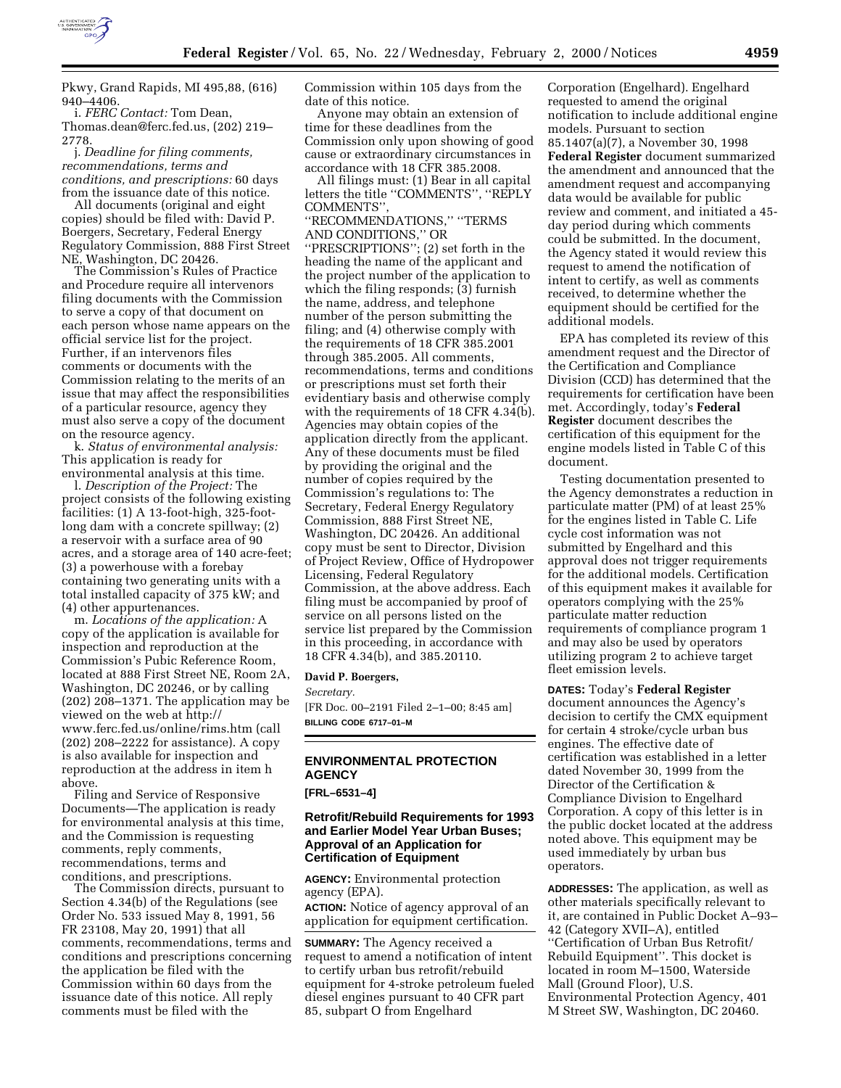

Pkwy, Grand Rapids, MI 495,88, (616) 940–4406.

i. *FERC Contact:* Tom Dean, Thomas.dean@ferc.fed.us, (202) 219– 2778.

j. *Deadline for filing comments, recommendations, terms and conditions, and prescriptions:* 60 days from the issuance date of this notice.

All documents (original and eight copies) should be filed with: David P. Boergers, Secretary, Federal Energy Regulatory Commission, 888 First Street NE, Washington, DC 20426. The Commission's Rules of Practice

and Procedure require all intervenors filing documents with the Commission to serve a copy of that document on each person whose name appears on the official service list for the project. Further, if an intervenors files comments or documents with the Commission relating to the merits of an issue that may affect the responsibilities of a particular resource, agency they must also serve a copy of the document on the resource agency. k. *Status of environmental analysis:*

This application is ready for

environmental analysis at this time. l. *Description of the Project:* The project consists of the following existing facilities: (1) A 13-foot-high, 325-footlong dam with a concrete spillway; (2) a reservoir with a surface area of 90 acres, and a storage area of 140 acre-feet; (3) a powerhouse with a forebay containing two generating units with a total installed capacity of 375 kW; and (4) other appurtenances. m. *Locations of the application:* <sup>A</sup>

copy of the application is available for inspection and reproduction at the Commission's Pubic Reference Room, located at 888 First Street NE, Room 2A, Washington, DC 20246, or by calling (202) 208–1371. The application may be viewed on the web at http:// www.ferc.fed.us/online/rims.htm (call (202) 208–2222 for assistance). A copy is also available for inspection and reproduction at the address in item h above.

Filing and Service of Responsive Documents—The application is ready for environmental analysis at this time, and the Commission is requesting comments, reply comments, recommendations, terms and conditions, and prescriptions. The Commission directs, pursuant to

Section 4.34(b) of the Regulations (see Order No. 533 issued May 8, 1991, 56 FR 23108, May 20, 1991) that all comments, recommendations, terms and conditions and prescriptions concerning the application be filed with the Commission within 60 days from the issuance date of this notice. All reply comments must be filed with the

Commission within 105 days from the date of this notice.

Anyone may obtain an extension of time for these deadlines from the Commission only upon showing of good cause or extraordinary circumstances in accordance with 18 CFR 385.2008.

All filings must: (1) Bear in all capital letters the title ''COMMENTS'', ''REPLY COMMENTS'',

''RECOMMENDATIONS,'' ''TERMS AND CONDITIONS,'' OR

''PRESCRIPTIONS''; (2) set forth in the heading the name of the applicant and the project number of the application to which the filing responds; (3) furnish the name, address, and telephone number of the person submitting the filing; and (4) otherwise comply with the requirements of 18 CFR 385.2001 through 385.2005. All comments, recommendations, terms and conditions or prescriptions must set forth their evidentiary basis and otherwise comply with the requirements of 18 CFR 4.34(b). Agencies may obtain copies of the application directly from the applicant. Any of these documents must be filed by providing the original and the number of copies required by the Commission's regulations to: The Secretary, Federal Energy Regulatory Commission, 888 First Street NE, Washington, DC 20426. An additional copy must be sent to Director, Division of Project Review, Office of Hydropower Licensing, Federal Regulatory Commission, at the above address. Each filing must be accompanied by proof of service on all persons listed on the service list prepared by the Commission in this proceeding, in accordance with 18 CFR 4.34(b), and 385.20110.

#### **David P. Boergers,**

*Secretary.*

[FR Doc. 00–2191 Filed 2–1–00; 8:45 am] **BILLING CODE 6717–01–M**

# **ENVIRONMENTAL PROTECTION AGENCY**

**[FRL–6531–4]**

# **Retrofit/Rebuild Requirements for 1993 and Earlier Model Year Urban Buses; Approval of an Application for Certification of Equipment**

**AGENCY:** Environmental protection agency (EPA).

**ACTION:** Notice of agency approval of an application for equipment certification.

**SUMMARY:** The Agency received a request to amend a notification of intent to certify urban bus retrofit/rebuild equipment for 4-stroke petroleum fueled diesel engines pursuant to 40 CFR part 85, subpart O from Engelhard

Corporation (Engelhard). Engelhard requested to amend the original notification to include additional engine models. Pursuant to section 85.1407(a)(7), a November 30, 1998 **Federal Register** document summarized the amendment and announced that the amendment request and accompanying data would be available for public review and comment, and initiated a 45 day period during which comments could be submitted. In the document, the Agency stated it would review this request to amend the notification of intent to certify, as well as comments received, to determine whether the equipment should be certified for the additional models.

EPA has completed its review of this amendment request and the Director of the Certification and Compliance Division (CCD) has determined that the requirements for certification have been met. Accordingly, today's **Federal Register** document describes the certification of this equipment for the engine models listed in Table C of this document.

Testing documentation presented to the Agency demonstrates a reduction in particulate matter (PM) of at least 25% for the engines listed in Table C. Life cycle cost information was not submitted by Engelhard and this approval does not trigger requirements for the additional models. Certification of this equipment makes it available for operators complying with the 25% particulate matter reduction requirements of compliance program 1 and may also be used by operators utilizing program 2 to achieve target fleet emission levels.

### **DATES:** Today's **Federal Register**

document announces the Agency's decision to certify the CMX equipment for certain 4 stroke/cycle urban bus engines. The effective date of certification was established in a letter dated November 30, 1999 from the Director of the Certification & Compliance Division to Engelhard Corporation. A copy of this letter is in the public docket located at the address noted above. This equipment may be used immediately by urban bus operators.

**ADDRESSES:** The application, as well as other materials specifically relevant to it, are contained in Public Docket A–93– 42 (Category XVII–A), entitled ''Certification of Urban Bus Retrofit/ Rebuild Equipment''. This docket is located in room M–1500, Waterside Mall (Ground Floor), U.S. Environmental Protection Agency, 401 M Street SW, Washington, DC 20460.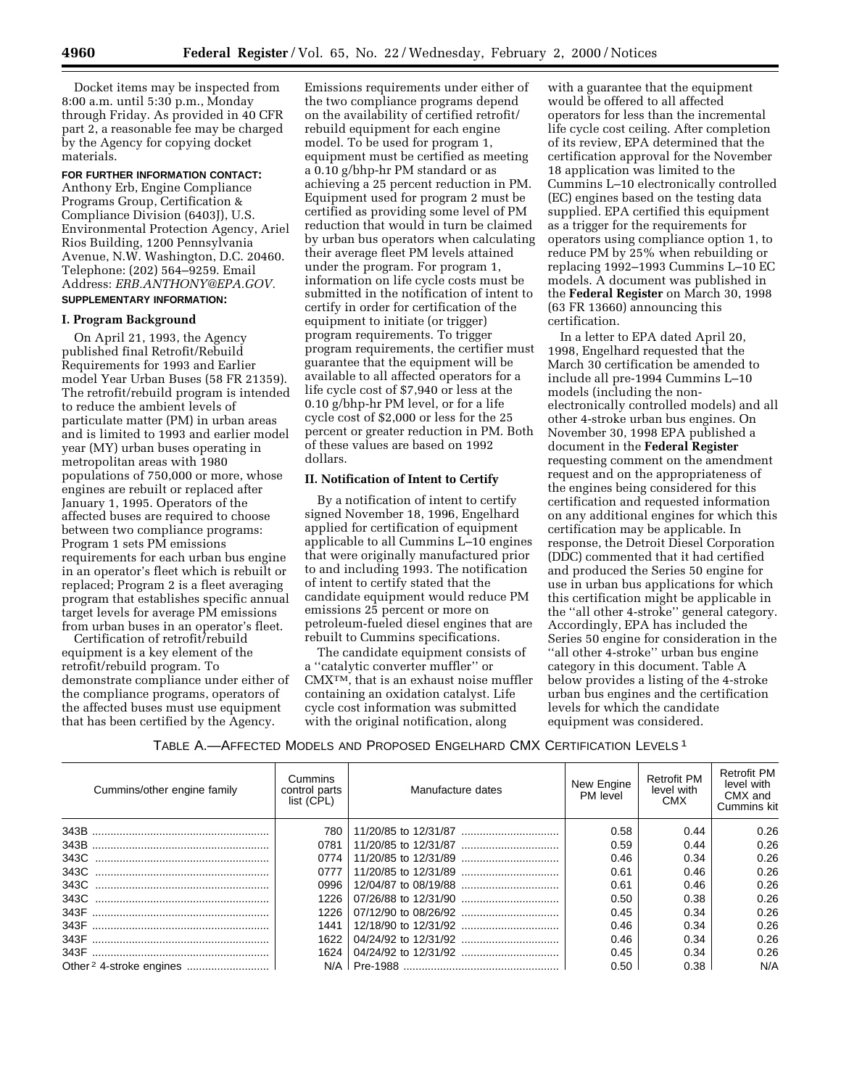Docket items may be inspected from 8:00 a.m. until 5:30 p.m., Monday through Friday. As provided in 40 CFR part 2, a reasonable fee may be charged by the Agency for copying docket materials.

# **FOR FURTHER INFORMATION CONTACT:**

Anthony Erb, Engine Compliance Programs Group, Certification & Compliance Division (6403J), U.S. Environmental Protection Agency, Ariel Rios Building, 1200 Pennsylvania Avenue, N.W. Washington, D.C. 20460. Telephone: (202) 564–9259. Email Address: *ERB.ANTHONY@EPA.GOV.* **SUPPLEMENTARY INFORMATION:**

#### **I. Program Background**

On April 21, 1993, the Agency published final Retrofit/Rebuild Requirements for 1993 and Earlier model Year Urban Buses (58 FR 21359). The retrofit/rebuild program is intended to reduce the ambient levels of particulate matter (PM) in urban areas and is limited to 1993 and earlier model year (MY) urban buses operating in metropolitan areas with 1980 populations of 750,000 or more, whose engines are rebuilt or replaced after January 1, 1995. Operators of the affected buses are required to choose between two compliance programs: Program 1 sets PM emissions requirements for each urban bus engine in an operator's fleet which is rebuilt or replaced; Program 2 is a fleet averaging program that establishes specific annual target levels for average PM emissions from urban buses in an operator's fleet.

Certification of retrofit/rebuild equipment is a key element of the retrofit/rebuild program. To demonstrate compliance under either of the compliance programs, operators of the affected buses must use equipment that has been certified by the Agency.

Emissions requirements under either of the two compliance programs depend on the availability of certified retrofit/ rebuild equipment for each engine model. To be used for program 1, equipment must be certified as meeting a 0.10 g/bhp-hr PM standard or as achieving a 25 percent reduction in PM. Equipment used for program 2 must be certified as providing some level of PM reduction that would in turn be claimed by urban bus operators when calculating their average fleet PM levels attained under the program. For program 1, information on life cycle costs must be submitted in the notification of intent to certify in order for certification of the equipment to initiate (or trigger) program requirements. To trigger program requirements, the certifier must guarantee that the equipment will be available to all affected operators for a life cycle cost of \$7,940 or less at the 0.10 g/bhp-hr PM level, or for a life cycle cost of \$2,000 or less for the 25 percent or greater reduction in PM. Both of these values are based on 1992 dollars.

#### **II. Notification of Intent to Certify**

By a notification of intent to certify signed November 18, 1996, Engelhard applied for certification of equipment applicable to all Cummins L–10 engines that were originally manufactured prior to and including 1993. The notification of intent to certify stated that the candidate equipment would reduce PM emissions 25 percent or more on petroleum-fueled diesel engines that are rebuilt to Cummins specifications.

The candidate equipment consists of a ''catalytic converter muffler'' or CMXTM, that is an exhaust noise muffler containing an oxidation catalyst. Life cycle cost information was submitted with the original notification, along

with a guarantee that the equipment would be offered to all affected operators for less than the incremental life cycle cost ceiling. After completion of its review, EPA determined that the certification approval for the November 18 application was limited to the Cummins L–10 electronically controlled (EC) engines based on the testing data supplied. EPA certified this equipment as a trigger for the requirements for operators using compliance option 1, to reduce PM by 25% when rebuilding or replacing 1992–1993 Cummins L–10 EC models. A document was published in the **Federal Register** on March 30, 1998 (63 FR 13660) announcing this certification.

In a letter to EPA dated April 20, 1998, Engelhard requested that the March 30 certification be amended to include all pre-1994 Cummins L–10 models (including the nonelectronically controlled models) and all other 4-stroke urban bus engines. On November 30, 1998 EPA published a document in the **Federal Register** requesting comment on the amendment request and on the appropriateness of the engines being considered for this certification and requested information on any additional engines for which this certification may be applicable. In response, the Detroit Diesel Corporation (DDC) commented that it had certified and produced the Series 50 engine for use in urban bus applications for which this certification might be applicable in the ''all other 4-stroke'' general category. Accordingly, EPA has included the Series 50 engine for consideration in the ''all other 4-stroke'' urban bus engine category in this document. Table A below provides a listing of the 4-stroke urban bus engines and the certification levels for which the candidate equipment was considered.

TABLE A.—AFFECTED MODELS AND PROPOSED ENGELHARD CMX CERTIFICATION LEVELS 1

| Cummins/other engine family | Cummins<br>control parts<br>list (CPL) | Manufacture dates | New Engine<br>PM level | <b>Retrofit PM</b><br>level with<br><b>CMX</b> | <b>Retrofit PM</b><br>level with<br>CMX and<br><b>Cummins kit</b> |
|-----------------------------|----------------------------------------|-------------------|------------------------|------------------------------------------------|-------------------------------------------------------------------|
|                             | 780                                    |                   | 0.58                   | 0.44                                           | 0.26                                                              |
|                             | 0781                                   |                   | 0.59                   | 0.44                                           | 0.26                                                              |
|                             | 0774                                   |                   | 0.46                   | 0.34                                           | 0.26                                                              |
|                             | 0777                                   |                   | 0.61                   | 0.46                                           | 0.26                                                              |
|                             | 0996                                   |                   | 0.61                   | 0.46                                           | 0.26                                                              |
|                             | 1226                                   |                   | 0.50                   | 0.38                                           | 0.26                                                              |
|                             | 1226                                   |                   | 0.45                   | 0.34                                           | 0.26                                                              |
|                             | 1441                                   |                   | 0.46                   | 0.34                                           | 0.26                                                              |
|                             | 1622                                   |                   | 0.46                   | 0.34                                           | 0.26                                                              |
|                             |                                        |                   | 0.45                   | 0.34                                           | 0.26                                                              |
|                             |                                        |                   | 0.50                   | 0.38                                           | N/A                                                               |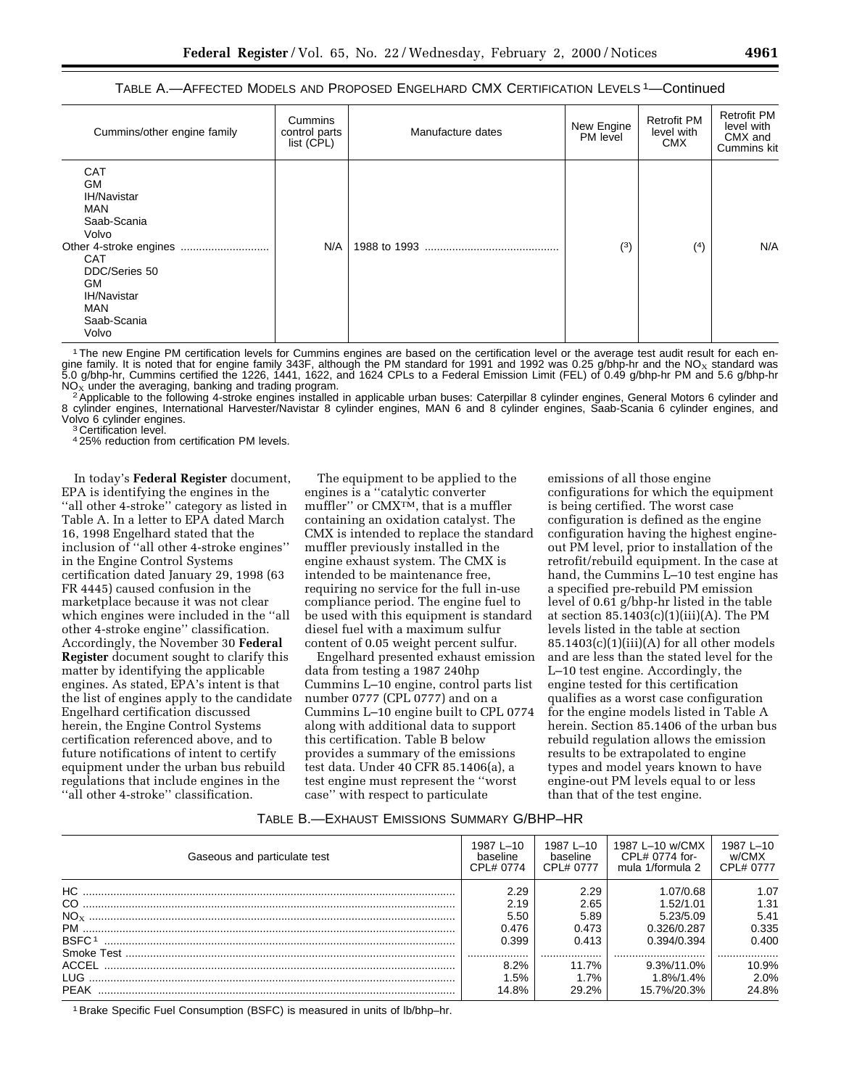#### TABLE A.—AFFECTED MODELS AND PROPOSED ENGELHARD CMX CERTIFICATION LEVELS 1—Continued

| Cummins/other engine family                                                                                                                                                          | Cummins<br>control parts<br>list (CPL) | Manufacture dates | New Engine<br>PM level | <b>Retrofit PM</b><br>level with<br><b>CMX</b> | <b>Retrofit PM</b><br>level with<br>CMX and<br><b>Cummins kit</b> |
|--------------------------------------------------------------------------------------------------------------------------------------------------------------------------------------|----------------------------------------|-------------------|------------------------|------------------------------------------------|-------------------------------------------------------------------|
| <b>CAT</b><br><b>GM</b><br><b>IH/Navistar</b><br><b>MAN</b><br>Saab-Scania<br>Volvo<br><b>CAT</b><br>DDC/Series 50<br>GM<br><b>IH/Navistar</b><br><b>MAN</b><br>Saab-Scania<br>Volvo | N/A                                    |                   | (3)                    | (4)                                            | N/A                                                               |

1The new Engine PM certification levels for Cummins engines are based on the certification level or the average test audit result for each engine family. It is noted that for engine family 343F, although the PM standard for 1991 and 1992 was 0.25 g/bhp-hr and the NO<sub>x</sub> standard was<br>5.0 g/bhp-hr, Cummins certified the 1226, 1441, 1622, and 1624 CPLs to a Federal

NO<sub>X</sub> under the averaging, banking and trading program.<br><sup>2</sup>Applicable to the following 4-stroke engines installed in applicable urban buses: Caterpillar 8 cylinder engines, General Motors 6 cylinder and 8 cylinder engines, International Harvester/Navistar 8 cylinder engines, MAN 6 and 8 cylinder engines, Saab-Scania 6 cylinder engines, and Volvo 6 cylinder engines. <sup>3</sup> Certification level.

4 25% reduction from certification PM levels.

In today's **Federal Register** document, EPA is identifying the engines in the ''all other 4-stroke'' category as listed in Table A. In a letter to EPA dated March 16, 1998 Engelhard stated that the inclusion of ''all other 4-stroke engines'' in the Engine Control Systems certification dated January 29, 1998 (63 FR 4445) caused confusion in the marketplace because it was not clear which engines were included in the ''all other 4-stroke engine'' classification. Accordingly, the November 30 **Federal Register** document sought to clarify this matter by identifying the applicable engines. As stated, EPA's intent is that the list of engines apply to the candidate Engelhard certification discussed herein, the Engine Control Systems certification referenced above, and to future notifications of intent to certify equipment under the urban bus rebuild regulations that include engines in the ''all other 4-stroke'' classification.

The equipment to be applied to the engines is a ''catalytic converter muffler'' or CMXTM, that is a muffler containing an oxidation catalyst. The CMX is intended to replace the standard muffler previously installed in the engine exhaust system. The CMX is intended to be maintenance free, requiring no service for the full in-use compliance period. The engine fuel to be used with this equipment is standard diesel fuel with a maximum sulfur content of 0.05 weight percent sulfur.

Engelhard presented exhaust emission data from testing a 1987 240hp Cummins L–10 engine, control parts list number 0777 (CPL 0777) and on a Cummins L–10 engine built to CPL 0774 along with additional data to support this certification. Table B below provides a summary of the emissions test data. Under 40 CFR 85.1406(a), a test engine must represent the ''worst case'' with respect to particulate

emissions of all those engine configurations for which the equipment is being certified. The worst case configuration is defined as the engine configuration having the highest engineout PM level, prior to installation of the retrofit/rebuild equipment. In the case at hand, the Cummins L–10 test engine has a specified pre-rebuild PM emission level of 0.61 g/bhp-hr listed in the table at section  $85.1403(c)(1)(iii)(A)$ . The PM levels listed in the table at section  $85.1403(c)(1)(iii)(A)$  for all other models and are less than the stated level for the L–10 test engine. Accordingly, the engine tested for this certification qualifies as a worst case configuration for the engine models listed in Table A herein. Section 85.1406 of the urban bus rebuild regulation allows the emission results to be extrapolated to engine types and model years known to have engine-out PM levels equal to or less than that of the test engine.

#### TABLE B.—EXHAUST EMISSIONS SUMMARY G/BHP–HR

| Gaseous and particulate test | 1987 L-10<br>baseline<br>CPL# 0774 | 1987 L-10<br>baseline<br>CPI # 0777 | 1987 L-10 w/CMX<br>CPL# 0774 for-<br>mula 1/formula 2 | 1987 L-10<br>w/CMX<br>CPL# 0777 |
|------------------------------|------------------------------------|-------------------------------------|-------------------------------------------------------|---------------------------------|
| HC.                          | 2.29                               | 2.29                                | 1.07/0.68                                             | 1.07                            |
|                              | 2.19                               | 2.65                                | 1.52/1.01                                             | 1.31                            |
|                              | 5.50                               | 5.89                                | 5.23/5.09                                             | 5.41                            |
|                              | 0.476                              | 0.473                               | 0.326/0.287                                           | 0.335                           |
| BSFC <sub>1</sub>            | 0.399                              | 0.413                               | 0.394/0.394                                           | 0.400                           |
|                              | .                                  |                                     |                                                       |                                 |
|                              | $8.2\%$                            | $11.7\%$                            | $9.3\%/11.0\%$                                        | 10.9%                           |
|                              | $1.5\%$                            | 1.7%                                | 1.8%/1.4%                                             | 2.0%                            |
| PEAK                         | 14.8%                              | 29.2%                               | 15.7%/20.3%                                           | 24.8%                           |
|                              |                                    |                                     |                                                       |                                 |

1Brake Specific Fuel Consumption (BSFC) is measured in units of lb/bhp–hr.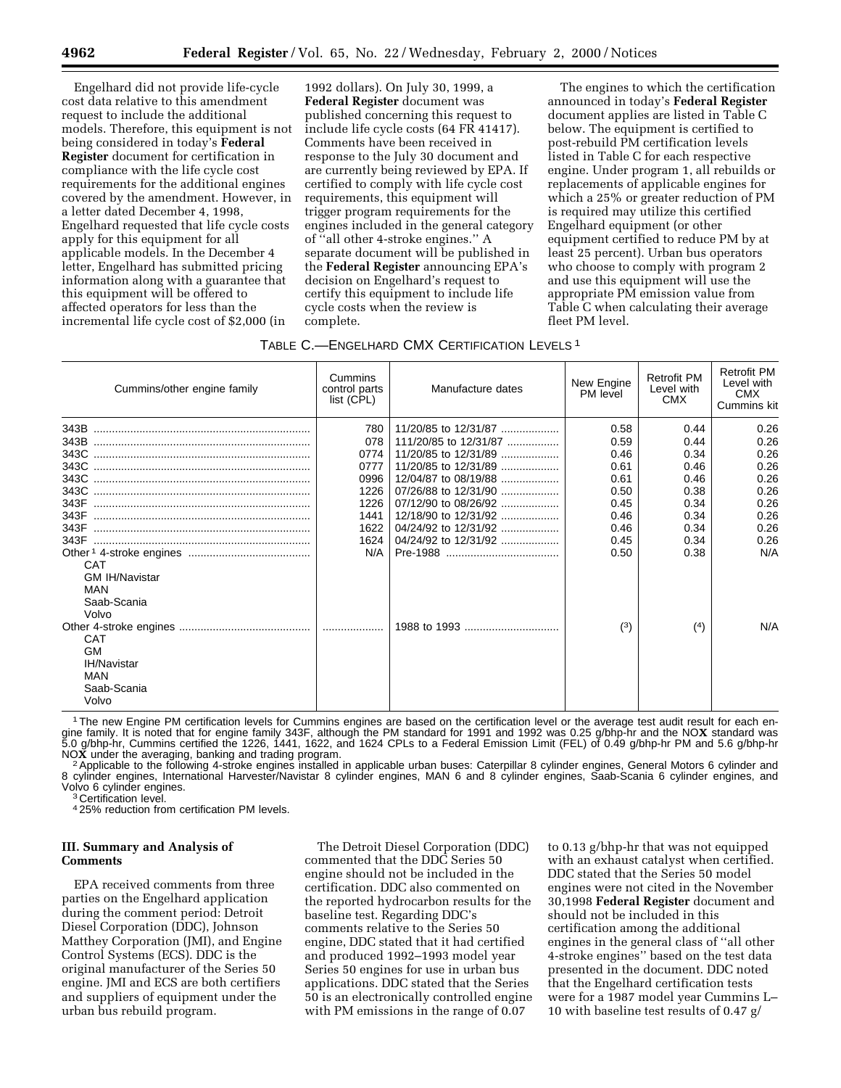Engelhard did not provide life-cycle cost data relative to this amendment request to include the additional models. Therefore, this equipment is not being considered in today's **Federal Register** document for certification in compliance with the life cycle cost requirements for the additional engines covered by the amendment. However, in a letter dated December 4, 1998, Engelhard requested that life cycle costs apply for this equipment for all applicable models. In the December 4 letter, Engelhard has submitted pricing information along with a guarantee that this equipment will be offered to affected operators for less than the incremental life cycle cost of \$2,000 (in

1992 dollars). On July 30, 1999, a **Federal Register** document was published concerning this request to include life cycle costs (64 FR 41417). Comments have been received in response to the July 30 document and are currently being reviewed by EPA. If certified to comply with life cycle cost requirements, this equipment will trigger program requirements for the engines included in the general category of ''all other 4-stroke engines.'' A separate document will be published in the **Federal Register** announcing EPA's decision on Engelhard's request to certify this equipment to include life cycle costs when the review is complete.

The engines to which the certification announced in today's **Federal Register** document applies are listed in Table C below. The equipment is certified to post-rebuild PM certification levels listed in Table C for each respective engine. Under program 1, all rebuilds or replacements of applicable engines for which a 25% or greater reduction of PM is required may utilize this certified Engelhard equipment (or other equipment certified to reduce PM by at least 25 percent). Urban bus operators who choose to comply with program 2 and use this equipment will use the appropriate PM emission value from Table C when calculating their average fleet PM level.

## TABLE C.—ENGELHARD CMX CERTIFICATION LEVELS 1

| Cummins/other engine family                                                                                                                                        | Cummins<br>control parts<br>list (CPL)                                            | Manufacture dates                                                                                                                                                                             | New Engine<br>PM level                                                                      | <b>Retrofit PM</b><br>Level with<br><b>CMX</b>                                              | <b>Retrofit PM</b><br>Level with<br><b>CMX</b><br>Cummins kit                              |
|--------------------------------------------------------------------------------------------------------------------------------------------------------------------|-----------------------------------------------------------------------------------|-----------------------------------------------------------------------------------------------------------------------------------------------------------------------------------------------|---------------------------------------------------------------------------------------------|---------------------------------------------------------------------------------------------|--------------------------------------------------------------------------------------------|
| 343F<br>343F<br><b>CAT</b><br><b>GM IH/Navistar</b><br>MAN<br>Saab-Scania<br>Volvo<br><b>CAT</b><br><b>GM</b><br><b>IH/Navistar</b><br>MAN<br>Saab-Scania<br>Volvo | 780<br>078<br>0774<br>0777<br>0996<br>1226<br>1226<br>1441<br>1622<br>1624<br>N/A | 11/20/85 to 12/31/87<br>111/20/85 to 12/31/87<br>11/20/85 to 12/31/89<br>12/04/87 to 08/19/88<br>07/26/88 to 12/31/90<br>12/18/90 to 12/31/92<br>04/24/92 to 12/31/92<br>04/24/92 to 12/31/92 | 0.58<br>0.59<br>0.46<br>0.61<br>0.61<br>0.50<br>0.45<br>0.46<br>0.46<br>0.45<br>0.50<br>(3) | 0.44<br>0.44<br>0.34<br>0.46<br>0.46<br>0.38<br>0.34<br>0.34<br>0.34<br>0.34<br>0.38<br>(4) | 0.26<br>0.26<br>0.26<br>0.26<br>0.26<br>0.26<br>0.26<br>0.26<br>0.26<br>0.26<br>N/A<br>N/A |

1The new Engine PM certification levels for Cummins engines are based on the certification level or the average test audit result for each engine family. It is noted that for engine family 343F, although the PM standard for 1991 and 1992 was 0.25 g/bhp-hr and the NOX standard was<br>5.0 g/bhp-hr, Cummins certified the 1226, 1441, 1622, and 1624 CPLs to a Federal E

NOX under the averaging, banking and trading program.<br><sup>2</sup> Applicable to the following 4-stroke engines installed in applicable urban buses: Caterpillar 8 cylinder engines, General Motors 6 cylinder and 8 cylinder engines, International Harvester/Navistar 8 cylinder engines, MAN 6 and 8 cylinder engines, Saab-Scania 6 cylinder engines, and Volvo 6 cylinder engines.<br><sup>3</sup> Certification level.

4 25% reduction from certification PM levels.

# **III. Summary and Analysis of Comments**

EPA received comments from three parties on the Engelhard application during the comment period: Detroit Diesel Corporation (DDC), Johnson Matthey Corporation (JMI), and Engine Control Systems (ECS). DDC is the original manufacturer of the Series 50 engine. JMI and ECS are both certifiers and suppliers of equipment under the urban bus rebuild program.

The Detroit Diesel Corporation (DDC) commented that the DDC Series 50 engine should not be included in the certification. DDC also commented on the reported hydrocarbon results for the baseline test. Regarding DDC's comments relative to the Series 50 engine, DDC stated that it had certified and produced 1992–1993 model year Series 50 engines for use in urban bus applications. DDC stated that the Series 50 is an electronically controlled engine with PM emissions in the range of 0.07

to 0.13 g/bhp-hr that was not equipped with an exhaust catalyst when certified. DDC stated that the Series 50 model engines were not cited in the November 30,1998 **Federal Register** document and should not be included in this certification among the additional engines in the general class of ''all other 4-stroke engines'' based on the test data presented in the document. DDC noted that the Engelhard certification tests were for a 1987 model year Cummins L– 10 with baseline test results of 0.47 g/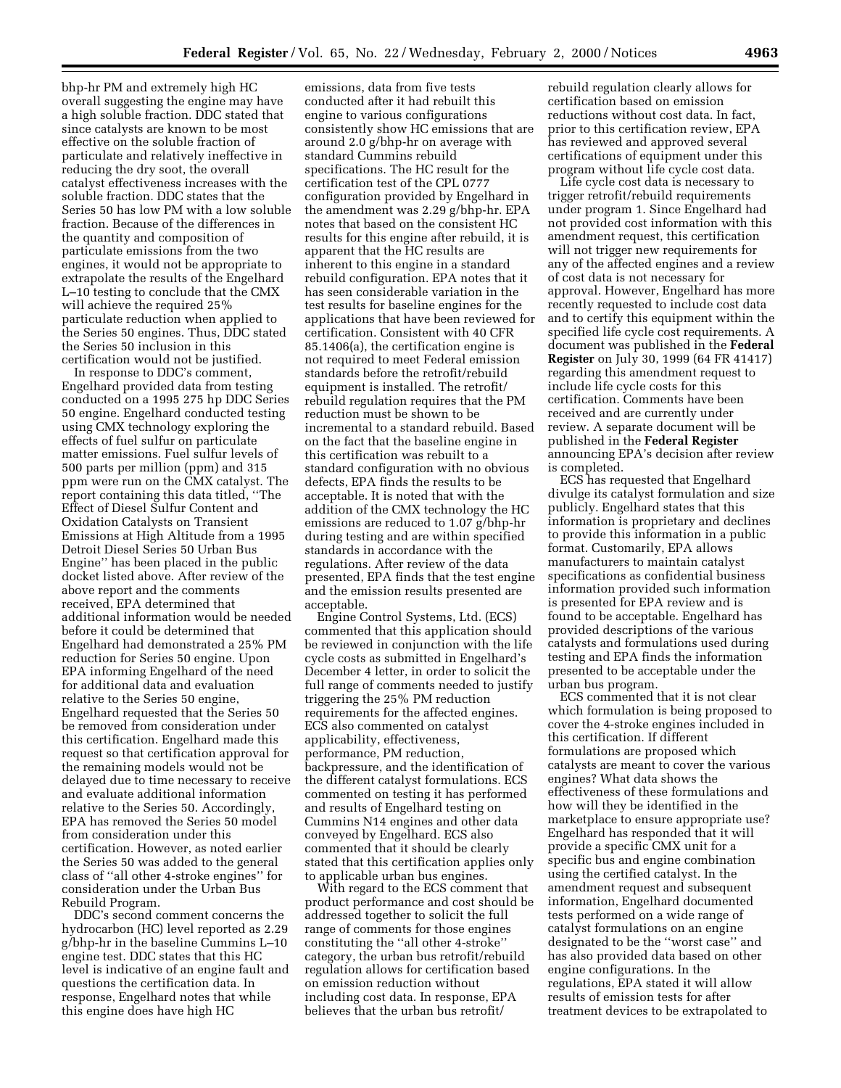bhp-hr PM and extremely high HC overall suggesting the engine may have a high soluble fraction. DDC stated that since catalysts are known to be most effective on the soluble fraction of particulate and relatively ineffective in reducing the dry soot, the overall catalyst effectiveness increases with the soluble fraction. DDC states that the Series 50 has low PM with a low soluble fraction. Because of the differences in the quantity and composition of particulate emissions from the two engines, it would not be appropriate to extrapolate the results of the Engelhard L–10 testing to conclude that the CMX will achieve the required 25% particulate reduction when applied to the Series 50 engines. Thus, DDC stated the Series 50 inclusion in this certification would not be justified.

In response to DDC's comment, Engelhard provided data from testing conducted on a 1995 275 hp DDC Series 50 engine. Engelhard conducted testing using CMX technology exploring the effects of fuel sulfur on particulate matter emissions. Fuel sulfur levels of 500 parts per million (ppm) and 315 ppm were run on the CMX catalyst. The report containing this data titled, ''The Effect of Diesel Sulfur Content and Oxidation Catalysts on Transient Emissions at High Altitude from a 1995 Detroit Diesel Series 50 Urban Bus Engine'' has been placed in the public docket listed above. After review of the above report and the comments received, EPA determined that additional information would be needed before it could be determined that Engelhard had demonstrated a 25% PM reduction for Series 50 engine. Upon EPA informing Engelhard of the need for additional data and evaluation relative to the Series 50 engine, Engelhard requested that the Series 50 be removed from consideration under this certification. Engelhard made this request so that certification approval for the remaining models would not be delayed due to time necessary to receive and evaluate additional information relative to the Series 50. Accordingly, EPA has removed the Series 50 model from consideration under this certification. However, as noted earlier the Series 50 was added to the general class of ''all other 4-stroke engines'' for consideration under the Urban Bus Rebuild Program.

DDC's second comment concerns the hydrocarbon (HC) level reported as 2.29 g/bhp-hr in the baseline Cummins L–10 engine test. DDC states that this HC level is indicative of an engine fault and questions the certification data. In response, Engelhard notes that while this engine does have high HC

emissions, data from five tests conducted after it had rebuilt this engine to various configurations consistently show HC emissions that are around 2.0 g/bhp-hr on average with standard Cummins rebuild specifications. The HC result for the certification test of the CPL 0777 configuration provided by Engelhard in the amendment was 2.29 g/bhp-hr. EPA notes that based on the consistent HC results for this engine after rebuild, it is apparent that the HC results are inherent to this engine in a standard rebuild configuration. EPA notes that it has seen considerable variation in the test results for baseline engines for the applications that have been reviewed for certification. Consistent with 40 CFR 85.1406(a), the certification engine is not required to meet Federal emission standards before the retrofit/rebuild equipment is installed. The retrofit/ rebuild regulation requires that the PM reduction must be shown to be incremental to a standard rebuild. Based on the fact that the baseline engine in this certification was rebuilt to a standard configuration with no obvious defects, EPA finds the results to be acceptable. It is noted that with the addition of the CMX technology the HC emissions are reduced to 1.07 g/bhp-hr during testing and are within specified standards in accordance with the regulations. After review of the data presented, EPA finds that the test engine and the emission results presented are acceptable.

Engine Control Systems, Ltd. (ECS) commented that this application should be reviewed in conjunction with the life cycle costs as submitted in Engelhard's December 4 letter, in order to solicit the full range of comments needed to justify triggering the 25% PM reduction requirements for the affected engines. ECS also commented on catalyst applicability, effectiveness, performance, PM reduction, backpressure, and the identification of the different catalyst formulations. ECS commented on testing it has performed and results of Engelhard testing on Cummins N14 engines and other data conveyed by Engelhard. ECS also commented that it should be clearly stated that this certification applies only to applicable urban bus engines.

With regard to the ECS comment that product performance and cost should be addressed together to solicit the full range of comments for those engines constituting the ''all other 4-stroke'' category, the urban bus retrofit/rebuild regulation allows for certification based on emission reduction without including cost data. In response, EPA believes that the urban bus retrofit/

rebuild regulation clearly allows for certification based on emission reductions without cost data. In fact, prior to this certification review, EPA has reviewed and approved several certifications of equipment under this program without life cycle cost data.

Life cycle cost data is necessary to trigger retrofit/rebuild requirements under program 1. Since Engelhard had not provided cost information with this amendment request, this certification will not trigger new requirements for any of the affected engines and a review of cost data is not necessary for approval. However, Engelhard has more recently requested to include cost data and to certify this equipment within the specified life cycle cost requirements. A document was published in the **Federal Register** on July 30, 1999 (64 FR 41417) regarding this amendment request to include life cycle costs for this certification. Comments have been received and are currently under review. A separate document will be published in the **Federal Register** announcing EPA's decision after review is completed.

ECS has requested that Engelhard divulge its catalyst formulation and size publicly. Engelhard states that this information is proprietary and declines to provide this information in a public format. Customarily, EPA allows manufacturers to maintain catalyst specifications as confidential business information provided such information is presented for EPA review and is found to be acceptable. Engelhard has provided descriptions of the various catalysts and formulations used during testing and EPA finds the information presented to be acceptable under the urban bus program.

ECS commented that it is not clear which formulation is being proposed to cover the 4-stroke engines included in this certification. If different formulations are proposed which catalysts are meant to cover the various engines? What data shows the effectiveness of these formulations and how will they be identified in the marketplace to ensure appropriate use? Engelhard has responded that it will provide a specific CMX unit for a specific bus and engine combination using the certified catalyst. In the amendment request and subsequent information, Engelhard documented tests performed on a wide range of catalyst formulations on an engine designated to be the ''worst case'' and has also provided data based on other engine configurations. In the regulations, EPA stated it will allow results of emission tests for after treatment devices to be extrapolated to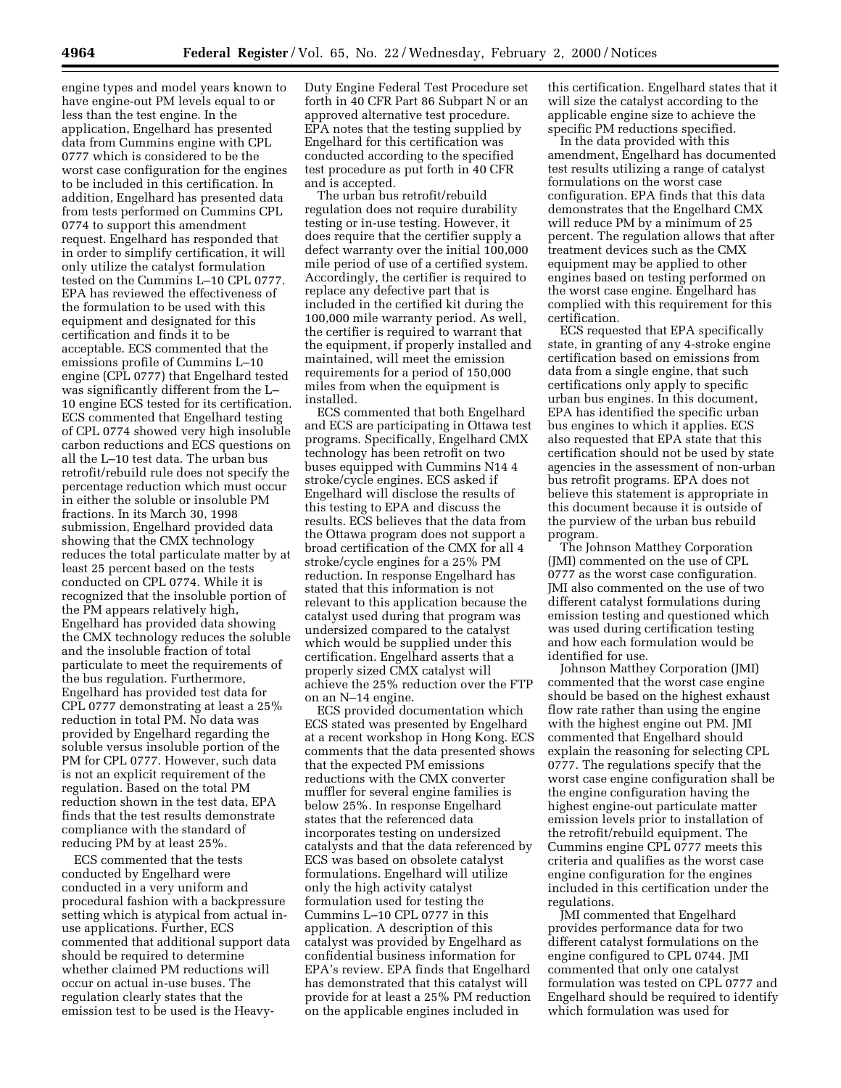engine types and model years known to have engine-out PM levels equal to or less than the test engine. In the application, Engelhard has presented data from Cummins engine with CPL 0777 which is considered to be the worst case configuration for the engines to be included in this certification. In addition, Engelhard has presented data from tests performed on Cummins CPL 0774 to support this amendment request. Engelhard has responded that in order to simplify certification, it will only utilize the catalyst formulation tested on the Cummins L–10 CPL 0777. EPA has reviewed the effectiveness of the formulation to be used with this equipment and designated for this certification and finds it to be acceptable. ECS commented that the emissions profile of Cummins L–10 engine (CPL 0777) that Engelhard tested was significantly different from the L– 10 engine ECS tested for its certification. ECS commented that Engelhard testing of CPL 0774 showed very high insoluble carbon reductions and ECS questions on all the L–10 test data. The urban bus retrofit/rebuild rule does not specify the percentage reduction which must occur in either the soluble or insoluble PM fractions. In its March 30, 1998 submission, Engelhard provided data showing that the CMX technology reduces the total particulate matter by at least 25 percent based on the tests conducted on CPL 0774. While it is recognized that the insoluble portion of the PM appears relatively high, Engelhard has provided data showing the CMX technology reduces the soluble and the insoluble fraction of total particulate to meet the requirements of the bus regulation. Furthermore, Engelhard has provided test data for CPL 0777 demonstrating at least a 25% reduction in total PM. No data was provided by Engelhard regarding the soluble versus insoluble portion of the PM for CPL 0777. However, such data is not an explicit requirement of the regulation. Based on the total PM reduction shown in the test data, EPA finds that the test results demonstrate compliance with the standard of reducing PM by at least 25%.

ECS commented that the tests conducted by Engelhard were conducted in a very uniform and procedural fashion with a backpressure setting which is atypical from actual inuse applications. Further, ECS commented that additional support data should be required to determine whether claimed PM reductions will occur on actual in-use buses. The regulation clearly states that the emission test to be used is the HeavyDuty Engine Federal Test Procedure set forth in 40 CFR Part 86 Subpart N or an approved alternative test procedure. EPA notes that the testing supplied by Engelhard for this certification was conducted according to the specified test procedure as put forth in 40 CFR and is accepted.

The urban bus retrofit/rebuild regulation does not require durability testing or in-use testing. However, it does require that the certifier supply a defect warranty over the initial 100,000 mile period of use of a certified system. Accordingly, the certifier is required to replace any defective part that is included in the certified kit during the 100,000 mile warranty period. As well, the certifier is required to warrant that the equipment, if properly installed and maintained, will meet the emission requirements for a period of 150,000 miles from when the equipment is installed.

ECS commented that both Engelhard and ECS are participating in Ottawa test programs. Specifically, Engelhard CMX technology has been retrofit on two buses equipped with Cummins N14 4 stroke/cycle engines. ECS asked if Engelhard will disclose the results of this testing to EPA and discuss the results. ECS believes that the data from the Ottawa program does not support a broad certification of the CMX for all 4 stroke/cycle engines for a 25% PM reduction. In response Engelhard has stated that this information is not relevant to this application because the catalyst used during that program was undersized compared to the catalyst which would be supplied under this certification. Engelhard asserts that a properly sized CMX catalyst will achieve the 25% reduction over the FTP on an N–14 engine.

ECS provided documentation which ECS stated was presented by Engelhard at a recent workshop in Hong Kong. ECS comments that the data presented shows that the expected PM emissions reductions with the CMX converter muffler for several engine families is below 25%. In response Engelhard states that the referenced data incorporates testing on undersized catalysts and that the data referenced by ECS was based on obsolete catalyst formulations. Engelhard will utilize only the high activity catalyst formulation used for testing the Cummins L–10 CPL 0777 in this application. A description of this catalyst was provided by Engelhard as confidential business information for EPA's review. EPA finds that Engelhard has demonstrated that this catalyst will provide for at least a 25% PM reduction on the applicable engines included in

this certification. Engelhard states that it will size the catalyst according to the applicable engine size to achieve the specific PM reductions specified.

In the data provided with this amendment, Engelhard has documented test results utilizing a range of catalyst formulations on the worst case configuration. EPA finds that this data demonstrates that the Engelhard CMX will reduce PM by a minimum of 25 percent. The regulation allows that after treatment devices such as the CMX equipment may be applied to other engines based on testing performed on the worst case engine. Engelhard has complied with this requirement for this certification.

ECS requested that EPA specifically state, in granting of any 4-stroke engine certification based on emissions from data from a single engine, that such certifications only apply to specific urban bus engines. In this document, EPA has identified the specific urban bus engines to which it applies. ECS also requested that EPA state that this certification should not be used by state agencies in the assessment of non-urban bus retrofit programs. EPA does not believe this statement is appropriate in this document because it is outside of the purview of the urban bus rebuild program.

The Johnson Matthey Corporation (JMI) commented on the use of CPL 0777 as the worst case configuration. JMI also commented on the use of two different catalyst formulations during emission testing and questioned which was used during certification testing and how each formulation would be identified for use.

Johnson Matthey Corporation (JMI) commented that the worst case engine should be based on the highest exhaust flow rate rather than using the engine with the highest engine out PM. JMI commented that Engelhard should explain the reasoning for selecting CPL 0777. The regulations specify that the worst case engine configuration shall be the engine configuration having the highest engine-out particulate matter emission levels prior to installation of the retrofit/rebuild equipment. The Cummins engine CPL 0777 meets this criteria and qualifies as the worst case engine configuration for the engines included in this certification under the regulations.

JMI commented that Engelhard provides performance data for two different catalyst formulations on the engine configured to CPL 0744. JMI commented that only one catalyst formulation was tested on CPL 0777 and Engelhard should be required to identify which formulation was used for